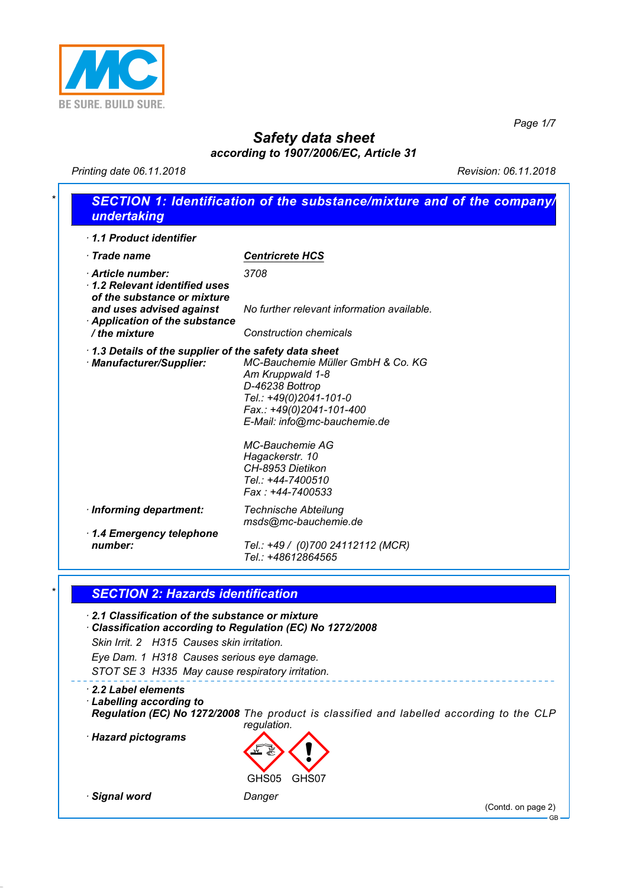

*Page 1/7*

## *Safety data sheet according to 1907/2006/EC, Article 31*

*Printing date 06.11.2018 Revision: 06.11.2018*

| 1.1 Product identifier                                                                                                                                      |                                                                                                                                                                |
|-------------------------------------------------------------------------------------------------------------------------------------------------------------|----------------------------------------------------------------------------------------------------------------------------------------------------------------|
| · Trade name                                                                                                                                                | <b>Centricrete HCS</b>                                                                                                                                         |
| Article number:<br>1.2 Relevant identified uses<br>of the substance or mixture<br>and uses advised against<br>Application of the substance<br>/ the mixture | 3708<br>No further relevant information available.<br><b>Construction chemicals</b>                                                                            |
| 1.3 Details of the supplier of the safety data sheet                                                                                                        |                                                                                                                                                                |
| · Manufacturer/Supplier:                                                                                                                                    | MC-Bauchemie Müller GmbH & Co. KG<br>Am Kruppwald 1-8<br>D-46238 Bottrop<br>Tel.: +49(0)2041-101-0<br>Fax.: +49(0)2041-101-400<br>E-Mail: info@mc-bauchemie.de |
|                                                                                                                                                             | <b>MC-Bauchemie AG</b><br>Hagackerstr. 10<br>CH-8953 Dietikon<br>Tel.: +44-7400510<br>Fax: +44-7400533                                                         |
| · Informing department:                                                                                                                                     | <b>Technische Abteilung</b><br>msds@mc-bauchemie.de                                                                                                            |
| 1.4 Emergency telephone<br>number:                                                                                                                          | Tel.: +49 / (0)700 24112112 (MCR)<br>Tel.: +48612864565                                                                                                        |
| <b>SECTION 2: Hazards identification</b><br>2.1 Classification of the substance or mixture                                                                  | Classification according to Regulation (EC) No 1272/2008                                                                                                       |
| Skin Irrit. 2 H315 Causes skin irritation.<br>Eye Dam. 1 H318 Causes serious eye damage.<br>STOT SE 3 H335 May cause respiratory irritation.                |                                                                                                                                                                |
| $\cdot$ 2.2 Label elements<br><b>Labelling according to</b>                                                                                                 |                                                                                                                                                                |
| · Hazard pictograms                                                                                                                                         | regulation.                                                                                                                                                    |
|                                                                                                                                                             | Regulation (EC) No 1272/2008 The product is classified and labelled according to the CLP<br>GHS05<br>GHS07                                                     |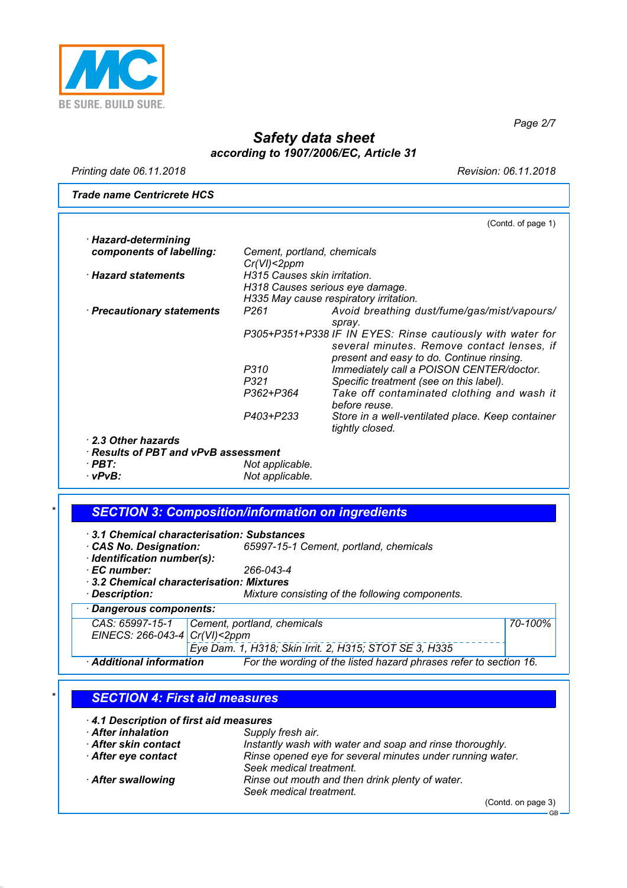

*Printing date 06.11.2018 Revision: 06.11.2018*

*Page 2/7*

*Trade name Centricrete HCS*

| Cement, portland, chemicals  |                                                                                                                                                                                  |
|------------------------------|----------------------------------------------------------------------------------------------------------------------------------------------------------------------------------|
| H315 Causes skin irritation. |                                                                                                                                                                                  |
|                              |                                                                                                                                                                                  |
|                              |                                                                                                                                                                                  |
| P <sub>261</sub>             | Avoid breathing dust/fume/gas/mist/vapours/<br>spray.                                                                                                                            |
|                              | P305+P351+P338 IF IN EYES: Rinse cautiously with water for<br>several minutes. Remove contact lenses, if<br>present and easy to do. Continue rinsing.                            |
|                              | Immediately call a POISON CENTER/doctor.                                                                                                                                         |
| P321                         | Specific treatment (see on this label).                                                                                                                                          |
| P362+P364                    | Take off contaminated clothing and wash it<br>before reuse.                                                                                                                      |
| P403+P233                    | Store in a well-ventilated place. Keep container<br>tightly closed.                                                                                                              |
|                              |                                                                                                                                                                                  |
|                              |                                                                                                                                                                                  |
|                              |                                                                                                                                                                                  |
|                              |                                                                                                                                                                                  |
|                              | Cr(VI) < 2ppm<br>H318 Causes serious eye damage.<br>H335 May cause respiratory irritation.<br>P310<br>· Results of PBT and vPvB assessment<br>Not applicable.<br>Not applicable. |

#### *\* SECTION 3: Composition/information on ingredients*

*· 3.1 Chemical characterisation: Substances*

- *· CAS No. Designation: 65997-15-1 Cement, portland, chemicals*
- *· Identification number(s):*
- *· EC number: 266-043-4*
- *· 3.2 Chemical characterisation: Mixtures*
- *· Description: Mixture consisting of the following components.*

*· Dangerous components:*

*CAS: 65997-15-1 EINECS: 266-043-4 Cement, portland, chemicals Cr(VI)<2ppm*

*Eye Dam. 1, H318; Skin Irrit. 2, H315; STOT SE 3, H335*

*· Additional information For the wording of the listed hazard phrases refer to section 16.*

#### *\* SECTION 4: First aid measures*

*· 4.1 Description of first aid measures · After inhalation Supply fresh air. After skin contact Instantly wash with water and soap and rinse thoroughly.*<br>*• After eye contact Inse opened eye for several minutes under running water · After eye contact Rinse opened eye for several minutes under running water. Seek medical treatment. · After swallowing Rinse out mouth and then drink plenty of water. Seek medical treatment.*

(Contd. on page 3)

*70-100%*

GB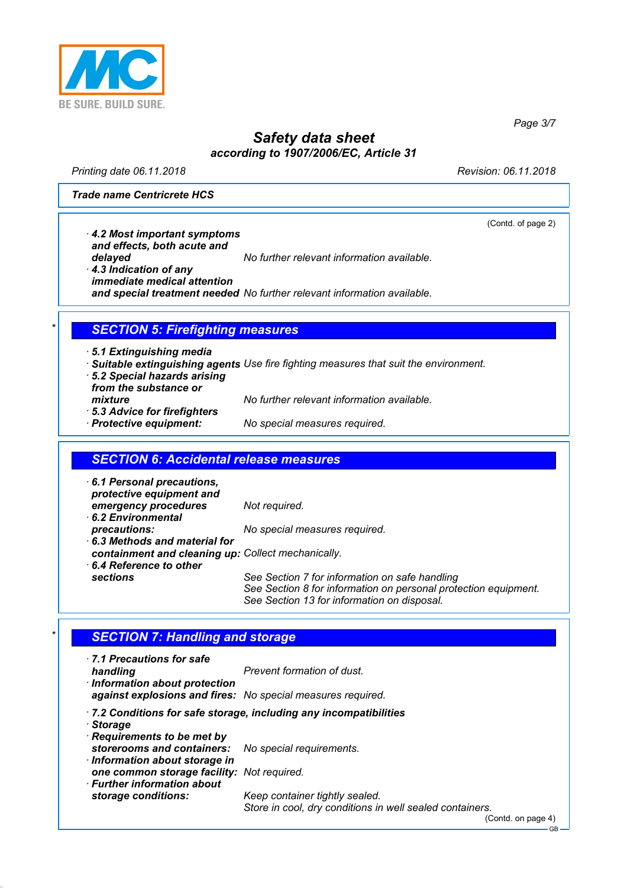

*Printing date 06.11.2018 Revision: 06.11.2018*

(Contd. of page 2)

GB

*Page 3/7*

*Trade name Centricrete HCS*

*· 4.2 Most important symptoms and effects, both acute and*

*delayed No further relevant information available.*

*· 4.3 Indication of any immediate medical attention and special treatment needed No further relevant information available.*

### *\* SECTION 5: Firefighting measures*

- *· 5.1 Extinguishing media*
- *· Suitable extinguishing agents Use fire fighting measures that suit the environment.*
- *· 5.2 Special hazards arising from the substance or*
- *· 5.3 Advice for firefighters*
- *mixture No further relevant information available.*
- *· Protective equipment: No special measures required.*

#### *SECTION 6: Accidental release measures*

- *· 6.1 Personal precautions, protective equipment and emergency procedures Not required. · 6.2 Environmental precautions: No special measures required. · 6.3 Methods and material for containment and cleaning up: Collect mechanically. · 6.4 Reference to other sections See Section 7 for information on safe handling*
	- *See Section 8 for information on personal protection equipment. See Section 13 for information on disposal.*

#### **SECTION 7: Handling and storage**

| . 7.1 Precautions for safe<br>handling<br>· Information about protection<br>against explosions and fires: No special measures required. | Prevent formation of dust.                                               |
|-----------------------------------------------------------------------------------------------------------------------------------------|--------------------------------------------------------------------------|
| · Storage                                                                                                                               | $\cdot$ 7.2 Conditions for safe storage, including any incompatibilities |
| Requirements to be met by                                                                                                               |                                                                          |
| storerooms and containers: No special requirements.<br>$\cdot$ Information about storage in                                             |                                                                          |
| one common storage facility: Not required.                                                                                              |                                                                          |
| $\cdot$ Further information about<br>storage conditions:                                                                                | Keep container tightly sealed.                                           |
|                                                                                                                                         | Store in cool, dry conditions in well sealed containers.                 |
|                                                                                                                                         | (Contd. on page 4)                                                       |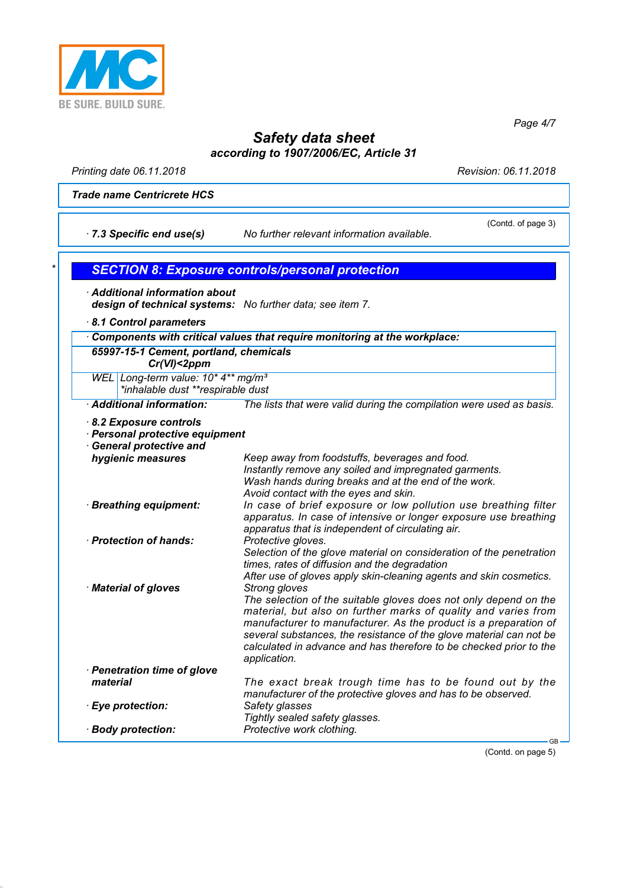

*Page 4/7*

# *Safety data sheet according to 1907/2006/EC, Article 31*

*Printing date 06.11.2018 Revision: 06.11.2018*

*Trade name Centricrete HCS*

*· 7.3 Specific end use(s) No further relevant information available.*

(Contd. of page 3)

| $\cdot$ Additional information about                                                | design of technical systems: No further data; see item 7.                                                                                                                                                                                                                                                                                                                            |
|-------------------------------------------------------------------------------------|--------------------------------------------------------------------------------------------------------------------------------------------------------------------------------------------------------------------------------------------------------------------------------------------------------------------------------------------------------------------------------------|
| 8.1 Control parameters                                                              |                                                                                                                                                                                                                                                                                                                                                                                      |
|                                                                                     | Components with critical values that require monitoring at the workplace:                                                                                                                                                                                                                                                                                                            |
| 65997-15-1 Cement, portland, chemicals<br>$Cr(VI)<2$ ppm                            |                                                                                                                                                                                                                                                                                                                                                                                      |
| WEL Long-term value: 10* 4** mg/m <sup>3</sup><br>*inhalable dust **respirable dust |                                                                                                                                                                                                                                                                                                                                                                                      |
| Additional information:                                                             | The lists that were valid during the compilation were used as basis.                                                                                                                                                                                                                                                                                                                 |
| Personal protective equipment<br><b>General protective and</b><br>hygienic measures | Keep away from foodstuffs, beverages and food.                                                                                                                                                                                                                                                                                                                                       |
|                                                                                     | Instantly remove any soiled and impregnated garments.<br>Wash hands during breaks and at the end of the work.<br>Avoid contact with the eyes and skin.                                                                                                                                                                                                                               |
| · Breathing equipment:                                                              | In case of brief exposure or low pollution use breathing filter<br>apparatus. In case of intensive or longer exposure use breathing<br>apparatus that is independent of circulating air.                                                                                                                                                                                             |
| · Protection of hands:                                                              | Protective gloves.<br>Selection of the glove material on consideration of the penetration<br>times, rates of diffusion and the degradation<br>After use of gloves apply skin-cleaning agents and skin cosmetics.                                                                                                                                                                     |
| · Material of gloves                                                                | Strong gloves<br>The selection of the suitable gloves does not only depend on the<br>material, but also on further marks of quality and varies from<br>manufacturer to manufacturer. As the product is a preparation of<br>several substances, the resistance of the glove material can not be<br>calculated in advance and has therefore to be checked prior to the<br>application. |
| · Penetration time of glove<br>material                                             | The exact break trough time has to be found out by the                                                                                                                                                                                                                                                                                                                               |
| · Eye protection:                                                                   | manufacturer of the protective gloves and has to be observed.<br>Safety glasses<br>Tightly sealed safety glasses.                                                                                                                                                                                                                                                                    |
| · Body protection:                                                                  | Protective work clothing.                                                                                                                                                                                                                                                                                                                                                            |

(Contd. on page 5)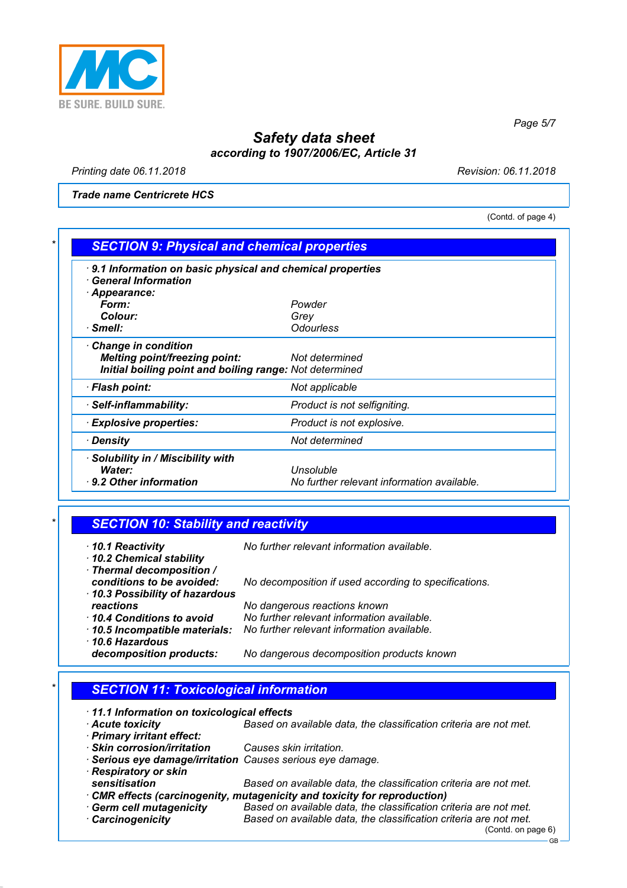

*Printing date 06.11.2018 Revision: 06.11.2018*

*Trade name Centricrete HCS*

(Contd. of page 4)

*Page 5/7*

| · 9.1 Information on basic physical and chemical properties<br>$\cdot$ General Information |                                            |  |
|--------------------------------------------------------------------------------------------|--------------------------------------------|--|
| · Appearance:                                                                              |                                            |  |
| Form:                                                                                      | Powder                                     |  |
| Colour:                                                                                    | Grey                                       |  |
| · Smell:                                                                                   | <b>Odourless</b>                           |  |
| Change in condition                                                                        |                                            |  |
| <b>Melting point/freezing point:</b>                                                       | Not determined                             |  |
| Initial boiling point and boiling range: Not determined                                    |                                            |  |
| · Flash point:                                                                             | Not applicable                             |  |
| · Self-inflammability:                                                                     | Product is not selfigniting.               |  |
| <b>Explosive properties:</b>                                                               | Product is not explosive.                  |  |
| ∙ Densitv                                                                                  | Not determined                             |  |
| · Solubility in / Miscibility with                                                         |                                            |  |
| Water:                                                                                     | Unsoluble                                  |  |
| 9.2 Other information                                                                      | No further relevant information available. |  |

| $\star$ | <b>SECTION 10: Stability and reactivity</b> |
|---------|---------------------------------------------|
|         |                                             |

| $\cdot$ 10.1 Reactivity<br>10.2 Chemical stability<br>· Thermal decomposition / | No further relevant information available.            |
|---------------------------------------------------------------------------------|-------------------------------------------------------|
| conditions to be avoided:<br>10.3 Possibility of hazardous                      | No decomposition if used according to specifications. |
| reactions                                                                       | No dangerous reactions known                          |
| 10.4 Conditions to avoid                                                        | No further relevant information available.            |
| 10.5 Incompatible materials:                                                    | No further relevant information available.            |
| $\cdot$ 10.6 Hazardous                                                          |                                                       |
| decomposition products:                                                         | No dangerous decomposition products known             |

# *\* SECTION 11: Toxicological information*

| 11.1 Information on toxicological effects |                                                                         |
|-------------------------------------------|-------------------------------------------------------------------------|
| Acute toxicity                            | Based on available data, the classification criteria are not met.       |
| · Primary irritant effect:                |                                                                         |
| · Skin corrosion/irritation               | Causes skin irritation.                                                 |
|                                           | · Serious eye damage/irritation Causes serious eye damage.              |
| · Respiratory or skin                     |                                                                         |
| sensitisation                             | Based on available data, the classification criteria are not met.       |
|                                           | CMR effects (carcinogenity, mutagenicity and toxicity for reproduction) |
| · Germ cell mutagenicity                  | Based on available data, the classification criteria are not met.       |
| <b>Carcinogenicity</b>                    | Based on available data, the classification criteria are not met.       |
|                                           | (Contd. on page 6)                                                      |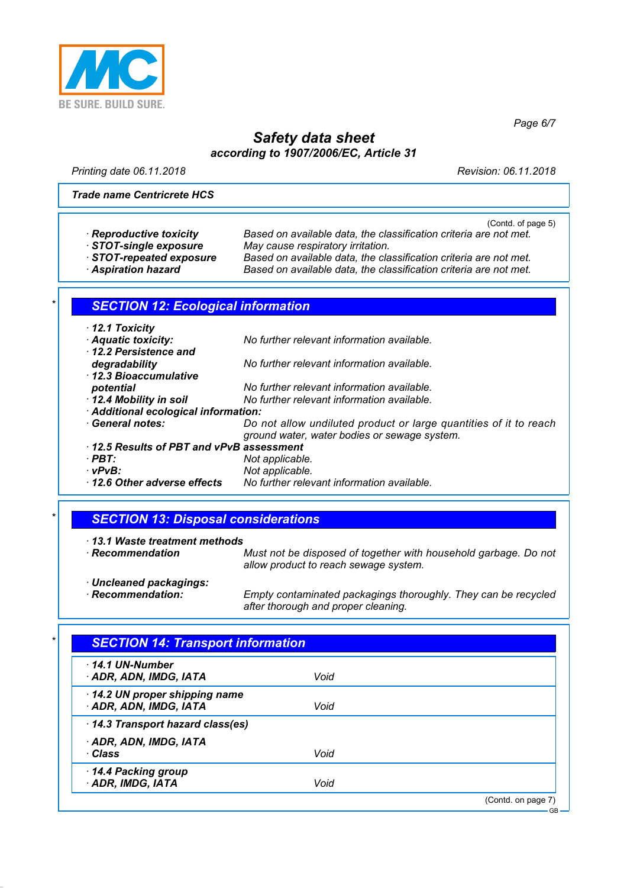

*Page 6/7*

### *Safety data sheet according to 1907/2006/EC, Article 31*

*Printing date 06.11.2018 Revision: 06.11.2018*

#### *Trade name Centricrete HCS*

|                                           | (Contd. of page 5)                                                |  |
|-------------------------------------------|-------------------------------------------------------------------|--|
| · Reproductive toxicity                   | Based on available data, the classification criteria are not met. |  |
| STOT-single exposure                      | May cause respiratory irritation.                                 |  |
| STOT-repeated exposure                    | Based on available data, the classification criteria are not met. |  |
| <b>Aspiration hazard</b>                  | Based on available data, the classification criteria are not met. |  |
|                                           |                                                                   |  |
| <b>SECTION 12: Ecological information</b> |                                                                   |  |
|                                           |                                                                   |  |
| $\cdot$ 12.1 Toxicity                     |                                                                   |  |
| Aquatic toxicity:                         | No further relevant information available.                        |  |
| 12.2 Persistence and                      |                                                                   |  |
| degradability                             | No further relevant information available.                        |  |
| · 12.3 Bioaccumulative                    |                                                                   |  |
| potential                                 | No further relevant information available.                        |  |
| 12.4 Mobility in soil                     | No further relevant information available.                        |  |
| · Additional ecological information:      |                                                                   |  |
| · General notes:                          | Do not allow undiluted product or large quantities of it to reach |  |
|                                           | ground water, water bodies or sewage system.                      |  |
| 12.5 Results of PBT and vPvB assessment   |                                                                   |  |
|                                           |                                                                   |  |
| $\cdot$ PBT:                              |                                                                   |  |
| $\cdot$ vPvB:                             | Not applicable.<br>Not applicable.                                |  |

### *\* SECTION 13: Disposal considerations*

| 13.1 Waste treatment methods | Must not be disposed of together with household garbage. Do not |
|------------------------------|-----------------------------------------------------------------|
| · Recommendation             | allow product to reach sewage system.                           |
| Uncleaned packagings:        | Empty contaminated packagings thoroughly. They can be recycled  |
| · Recommendation:            | after thorough and proper cleaning.                             |

## *\* SECTION 14: Transport information*

| 14.1 UN-Number<br>· ADR, ADN, IMDG, IATA               | Void |                    |
|--------------------------------------------------------|------|--------------------|
| 14.2 UN proper shipping name<br>· ADR, ADN, IMDG, IATA | Void |                    |
| 14.3 Transport hazard class(es)                        |      |                    |
| · ADR, ADN, IMDG, IATA<br>∙Class                       | Void |                    |
| 14.4 Packing group<br>· ADR, IMDG, IATA                | Void |                    |
|                                                        |      | (Contd. on page 7) |
|                                                        |      | $GB -$             |